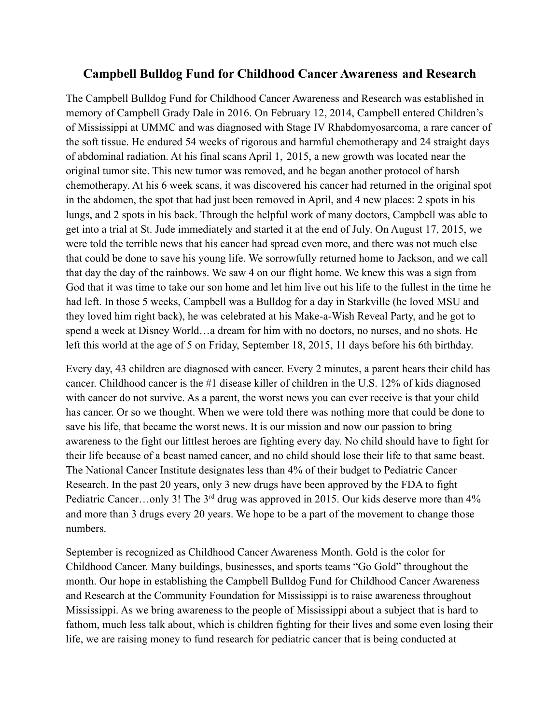## **Campbell Bulldog Fund for Childhood Cancer Awareness and Research**

The Campbell Bulldog Fund for Childhood Cancer Awareness and Research was established in memory of Campbell Grady Dale in 2016. On February 12, 2014, Campbell entered Children's of Mississippi at UMMC and was diagnosed with Stage IV Rhabdomyosarcoma, a rare cancer of the soft tissue. He endured 54 weeks of rigorous and harmful chemotherapy and 24 straight days of abdominal radiation. At his final scans April 1, 2015, a new growth was located near the original tumor site. This new tumor was removed, and he began another protocol of harsh chemotherapy. At his 6 week scans, it was discovered his cancer had returned in the original spot in the abdomen, the spot that had just been removed in April, and 4 new places: 2 spots in his lungs, and 2 spots in his back. Through the helpful work of many doctors, Campbell was able to get into a trial at St. Jude immediately and started it at the end of July. On August 17, 2015, we were told the terrible news that his cancer had spread even more, and there was not much else that could be done to save his young life. We sorrowfully returned home to Jackson, and we call that day the day of the rainbows. We saw 4 on our flight home. We knew this was a sign from God that it was time to take our son home and let him live out his life to the fullest in the time he had left. In those 5 weeks, Campbell was a Bulldog for a day in Starkville (he loved MSU and they loved him right back), he was celebrated at his Make-a-Wish Reveal Party, and he got to spend a week at Disney World…a dream for him with no doctors, no nurses, and no shots. He left this world at the age of 5 on Friday, September 18, 2015, 11 days before his 6th birthday.

Every day, 43 children are diagnosed with cancer. Every 2 minutes, a parent hears their child has cancer. Childhood cancer is the #1 disease killer of children in the U.S. 12% of kids diagnosed with cancer do not survive. As a parent, the worst news you can ever receive is that your child has cancer. Or so we thought. When we were told there was nothing more that could be done to save his life, that became the worst news. It is our mission and now our passion to bring awareness to the fight our littlest heroes are fighting every day. No child should have to fight for their life because of a beast named cancer, and no child should lose their life to that same beast. The National Cancer Institute designates less than 4% of their budget to Pediatric Cancer Research. In the past 20 years, only 3 new drugs have been approved by the FDA to fight Pediatric Cancer...only 3! The 3<sup>rd</sup> drug was approved in 2015. Our kids deserve more than 4% and more than 3 drugs every 20 years. We hope to be a part of the movement to change those numbers.

September is recognized as Childhood Cancer Awareness Month. Gold is the color for Childhood Cancer. Many buildings, businesses, and sports teams "Go Gold" throughout the month. Our hope in establishing the Campbell Bulldog Fund for Childhood Cancer Awareness and Research at the Community Foundation for Mississippi is to raise awareness throughout Mississippi. As we bring awareness to the people of Mississippi about a subject that is hard to fathom, much less talk about, which is children fighting for their lives and some even losing their life, we are raising money to fund research for pediatric cancer that is being conducted at